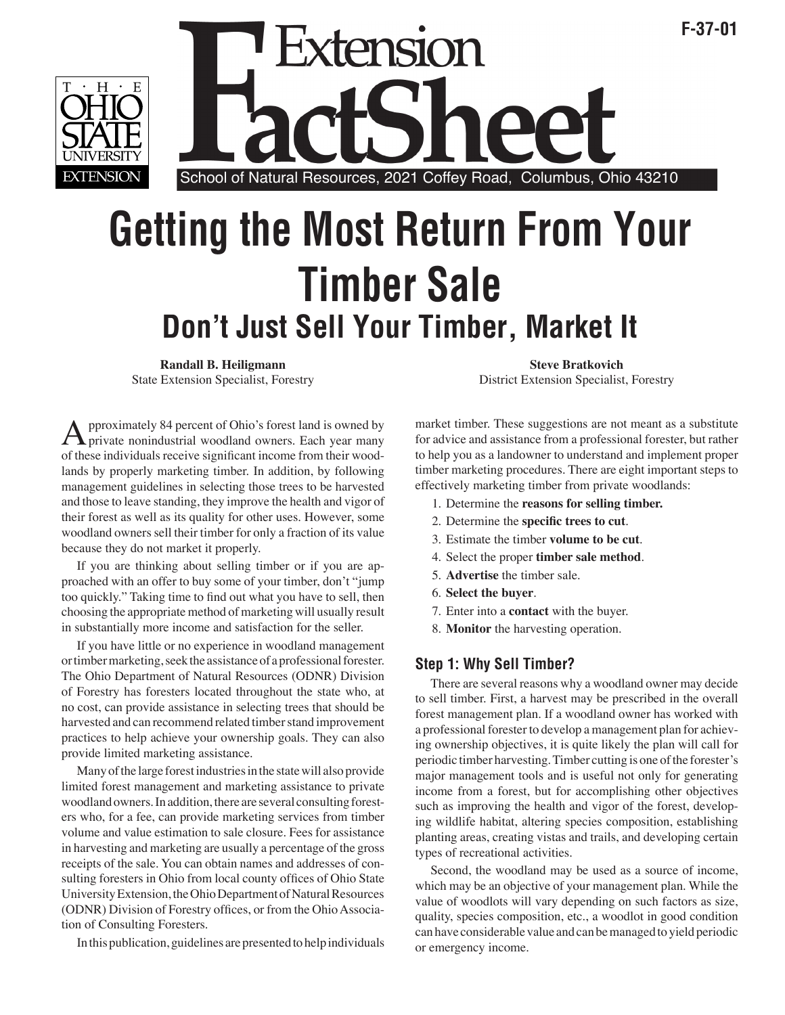

# ension School of Natural Resources, 2021 Coffey Road, Columbus, Ohio 43210

# **Getting the Most Return From Your Timber Sale Don't Just Sell Your Timber, Market It**

**Randall B. Heiligmann Steve Bratkovich** Steve Bratkovich

A pproximately 84 percent of Ohio's forest land is owned by private nonindustrial woodland owners. Each year many of these individuals resolve significant income from their wood of these individuals receive significant income from their woodlands by properly marketing timber. In addition, by following management guidelines in selecting those trees to be harvested and those to leave standing, they improve the health and vigor of their forest as well as its quality for other uses. However, some woodland owners sell their timber for only a fraction of its value because they do not market it properly.

If you are thinking about selling timber or if you are approached with an offer to buy some of your timber, don't "jump too quickly." Taking time to find out what you have to sell, then choosing the appropriate method of marketing will usually result in substantially more income and satisfaction for the seller.

If you have little or no experience in woodland management or timber marketing, seek the assistance of a professional forester. The Ohio Department of Natural Resources (ODNR) Division of Forestry has foresters located throughout the state who, at no cost, can provide assistance in selecting trees that should be harvested and can recommend related timber stand improvement practices to help achieve your ownership goals. They can also provide limited marketing assistance.

Many of the large forest industries in the state will also provide limited forest management and marketing assistance to private woodland owners. In addition, there are several consulting foresters who, for a fee, can provide marketing services from timber volume and value estimation to sale closure. Fees for assistance in harvesting and marketing are usually a percentage of the gross receipts of the sale. You can obtain names and addresses of consulting foresters in Ohio from local county offices of Ohio State University Extension, the Ohio Department of Natural Resources (ODNR) Division of Forestry offices, or from the Ohio Association of Consulting Foresters.

In this publication, guidelines are presented to help individuals

State Extension Specialist, Forestry District Extension Specialist, Forestry

**F-37-01**

market timber. These suggestions are not meant as a substitute for advice and assistance from a professional forester, but rather to help you as a landowner to understand and implement proper timber marketing procedures. There are eight important steps to effectively marketing timber from private woodlands:

- 1. Determine the **reasons for selling timber.**
- 2. Determine the **specific trees to cut**.
- 3. Estimate the timber **volume to be cut**.
- 4. Select the proper **timber sale method**.
- 5. **Advertise** the timber sale.
- 6. **Select the buyer**.
- 7. Enter into a **contact** with the buyer.
- 8. **Monitor** the harvesting operation.

# **Step 1: Why Sell Timber?**

There are several reasons why a woodland owner may decide to sell timber. First, a harvest may be prescribed in the overall forest management plan. If a woodland owner has worked with a professional forester to develop a management plan for achieving ownership objectives, it is quite likely the plan will call for periodic timber harvesting. Timber cutting is one of the forester's major management tools and is useful not only for generating income from a forest, but for accomplishing other objectives such as improving the health and vigor of the forest, developing wildlife habitat, altering species composition, establishing planting areas, creating vistas and trails, and developing certain types of recreational activities.

Second, the woodland may be used as a source of income, which may be an objective of your management plan. While the value of woodlots will vary depending on such factors as size, quality, species composition, etc., a woodlot in good condition can have considerable value and can be managed to yield periodic or emergency income.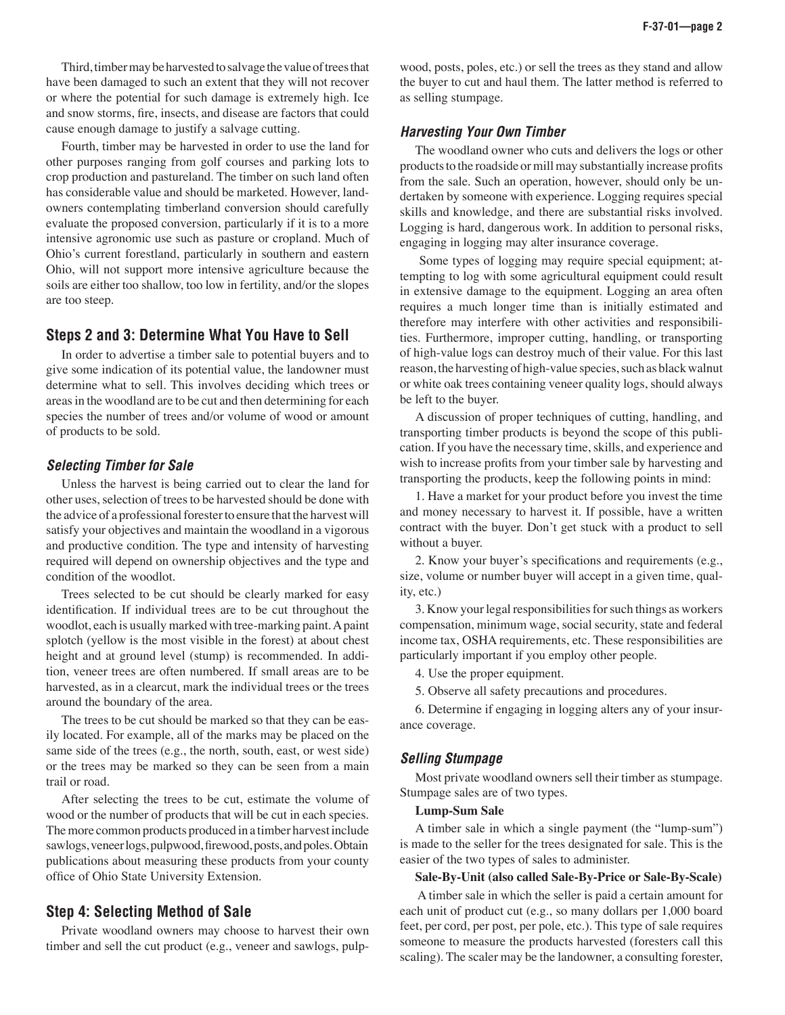Third, timber may be harvested to salvage the value of trees that have been damaged to such an extent that they will not recover or where the potential for such damage is extremely high. Ice and snow storms, fire, insects, and disease are factors that could cause enough damage to justify a salvage cutting.

Fourth, timber may be harvested in order to use the land for other purposes ranging from golf courses and parking lots to crop production and pastureland. The timber on such land often has considerable value and should be marketed. However, landowners contemplating timberland conversion should carefully evaluate the proposed conversion, particularly if it is to a more intensive agronomic use such as pasture or cropland. Much of Ohio's current forestland, particularly in southern and eastern Ohio, will not support more intensive agriculture because the soils are either too shallow, too low in fertility, and/or the slopes are too steep.

#### **Steps 2 and 3: Determine What You Have to Sell**

In order to advertise a timber sale to potential buyers and to give some indication of its potential value, the landowner must determine what to sell. This involves deciding which trees or areas in the woodland are to be cut and then determining for each species the number of trees and/or volume of wood or amount of products to be sold.

#### **Selecting Timber for Sale**

Unless the harvest is being carried out to clear the land for other uses, selection of trees to be harvested should be done with the advice of a professional forester to ensure that the harvest will satisfy your objectives and maintain the woodland in a vigorous and productive condition. The type and intensity of harvesting required will depend on ownership objectives and the type and condition of the woodlot.

Trees selected to be cut should be clearly marked for easy identification. If individual trees are to be cut throughout the woodlot, each is usually marked with tree-marking paint. A paint splotch (yellow is the most visible in the forest) at about chest height and at ground level (stump) is recommended. In addition, veneer trees are often numbered. If small areas are to be harvested, as in a clearcut, mark the individual trees or the trees around the boundary of the area.

The trees to be cut should be marked so that they can be easily located. For example, all of the marks may be placed on the same side of the trees (e.g., the north, south, east, or west side) or the trees may be marked so they can be seen from a main trail or road.

After selecting the trees to be cut, estimate the volume of wood or the number of products that will be cut in each species. The more common products produced in a timber harvest include sawlogs, veneer logs, pulpwood, firewood, posts, and poles. Obtain publications about measuring these products from your county office of Ohio State University Extension.

## **Step 4: Selecting Method of Sale**

Private woodland owners may choose to harvest their own timber and sell the cut product (e.g., veneer and sawlogs, pulpwood, posts, poles, etc.) or sell the trees as they stand and allow the buyer to cut and haul them. The latter method is referred to as selling stumpage.

#### **Harvesting Your Own Timber**

The woodland owner who cuts and delivers the logs or other products to the roadside or mill may substantially increase profits from the sale. Such an operation, however, should only be undertaken by someone with experience. Logging requires special skills and knowledge, and there are substantial risks involved. Logging is hard, dangerous work. In addition to personal risks, engaging in logging may alter insurance coverage.

 Some types of logging may require special equipment; attempting to log with some agricultural equipment could result in extensive damage to the equipment. Logging an area often requires a much longer time than is initially estimated and therefore may interfere with other activities and responsibilities. Furthermore, improper cutting, handling, or transporting of high-value logs can destroy much of their value. For this last reason, the harvesting of high-value species, such as black walnut or white oak trees containing veneer quality logs, should always be left to the buyer.

A discussion of proper techniques of cutting, handling, and transporting timber products is beyond the scope of this publication. If you have the necessary time, skills, and experience and wish to increase profits from your timber sale by harvesting and transporting the products, keep the following points in mind:

1. Have a market for your product before you invest the time and money necessary to harvest it. If possible, have a written contract with the buyer. Don't get stuck with a product to sell without a buyer.

2. Know your buyer's specifications and requirements (e.g., size, volume or number buyer will accept in a given time, quality, etc.)

3. Know your legal responsibilities for such things as workers compensation, minimum wage, social security, state and federal income tax, OSHA requirements, etc. These responsibilities are particularly important if you employ other people.

4. Use the proper equipment.

5. Observe all safety precautions and procedures.

6. Determine if engaging in logging alters any of your insurance coverage.

#### **Selling Stumpage**

Most private woodland owners sell their timber as stumpage. Stumpage sales are of two types.

#### **Lump-Sum Sale**

A timber sale in which a single payment (the "lump-sum") is made to the seller for the trees designated for sale. This is the easier of the two types of sales to administer.

#### **Sale-By-Unit (also called Sale-By-Price or Sale-By-Scale)**

 A timber sale in which the seller is paid a certain amount for each unit of product cut (e.g., so many dollars per 1,000 board feet, per cord, per post, per pole, etc.). This type of sale requires someone to measure the products harvested (foresters call this scaling). The scaler may be the landowner, a consulting forester,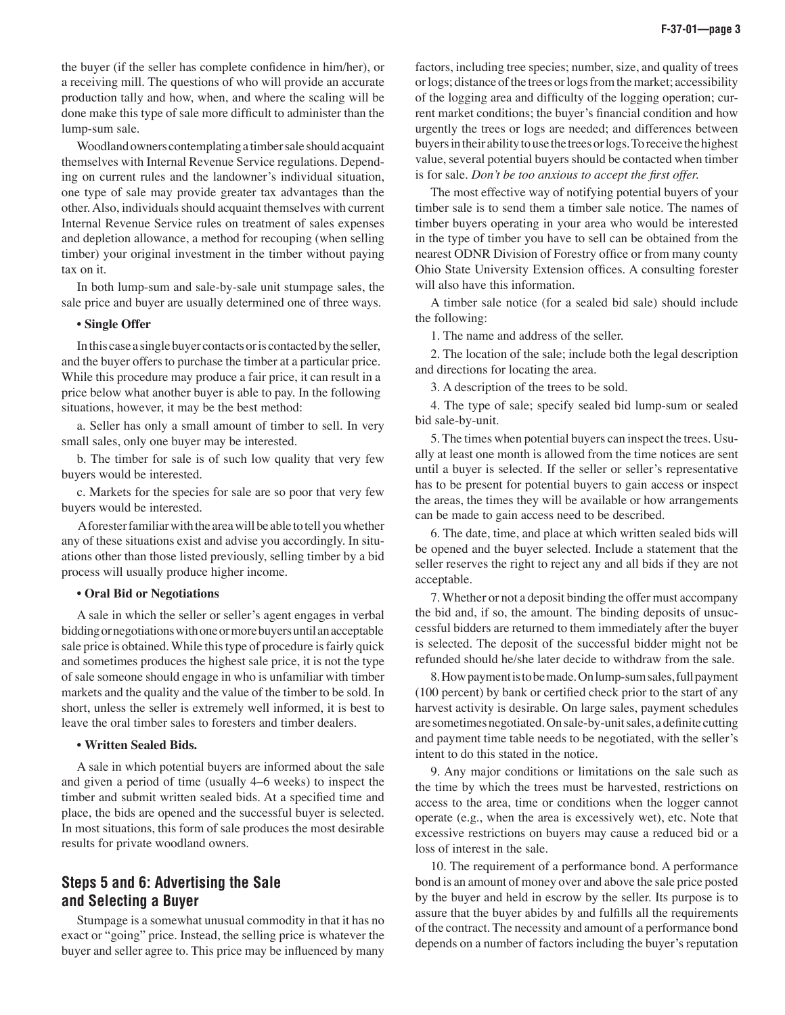the buyer (if the seller has complete confidence in him/her), or a receiving mill. The questions of who will provide an accurate production tally and how, when, and where the scaling will be done make this type of sale more difficult to administer than the lump-sum sale.

Woodland owners contemplating a timber sale should acquaint themselves with Internal Revenue Service regulations. Depending on current rules and the landowner's individual situation, one type of sale may provide greater tax advantages than the other. Also, individuals should acquaint themselves with current Internal Revenue Service rules on treatment of sales expenses and depletion allowance, a method for recouping (when selling timber) your original investment in the timber without paying tax on it.

In both lump-sum and sale-by-sale unit stumpage sales, the sale price and buyer are usually determined one of three ways.

#### • **Single Offer**

In this case a single buyer contacts or is contacted by the seller, and the buyer offers to purchase the timber at a particular price. While this procedure may produce a fair price, it can result in a price below what another buyer is able to pay. In the following situations, however, it may be the best method:

a. Seller has only a small amount of timber to sell. In very small sales, only one buyer may be interested.

b. The timber for sale is of such low quality that very few buyers would be interested.

c. Markets for the species for sale are so poor that very few buyers would be interested.

 A forester familiar with the area will be able to tell you whether any of these situations exist and advise you accordingly. In situations other than those listed previously, selling timber by a bid process will usually produce higher income.

#### • **Oral Bid or Negotiations**

A sale in which the seller or seller's agent engages in verbal bidding or negotiations with one or more buyers until an acceptable sale price is obtained. While this type of procedure is fairly quick and sometimes produces the highest sale price, it is not the type of sale someone should engage in who is unfamiliar with timber markets and the quality and the value of the timber to be sold. In short, unless the seller is extremely well informed, it is best to leave the oral timber sales to foresters and timber dealers.

#### • **Written Sealed Bids.**

A sale in which potential buyers are informed about the sale and given a period of time (usually 4–6 weeks) to inspect the timber and submit written sealed bids. At a specified time and place, the bids are opened and the successful buyer is selected. In most situations, this form of sale produces the most desirable results for private woodland owners.

# **Steps 5 and 6: Advertising the Sale and Selecting a Buyer**

Stumpage is a somewhat unusual commodity in that it has no exact or "going" price. Instead, the selling price is whatever the buyer and seller agree to. This price may be influenced by many factors, including tree species; number, size, and quality of trees or logs; distance of the trees or logs from the market; accessibility of the logging area and difficulty of the logging operation; current market conditions; the buyer's financial condition and how urgently the trees or logs are needed; and differences between buyers in their ability to use the trees or logs. To receive the highest value, several potential buyers should be contacted when timber is for sale. *Don't be too anxious to accept the first offer.*

The most effective way of notifying potential buyers of your timber sale is to send them a timber sale notice. The names of timber buyers operating in your area who would be interested in the type of timber you have to sell can be obtained from the nearest ODNR Division of Forestry office or from many county Ohio State University Extension offices. A consulting forester will also have this information.

A timber sale notice (for a sealed bid sale) should include the following:

1. The name and address of the seller.

2. The location of the sale; include both the legal description and directions for locating the area.

3. A description of the trees to be sold.

4. The type of sale; specify sealed bid lump-sum or sealed bid sale-by-unit.

5. The times when potential buyers can inspect the trees. Usually at least one month is allowed from the time notices are sent until a buyer is selected. If the seller or seller's representative has to be present for potential buyers to gain access or inspect the areas, the times they will be available or how arrangements can be made to gain access need to be described.

6. The date, time, and place at which written sealed bids will be opened and the buyer selected. Include a statement that the seller reserves the right to reject any and all bids if they are not acceptable.

7. Whether or not a deposit binding the offer must accompany the bid and, if so, the amount. The binding deposits of unsuccessful bidders are returned to them immediately after the buyer is selected. The deposit of the successful bidder might not be refunded should he/she later decide to withdraw from the sale.

8. How payment is to be made. On lump-sum sales, full payment (100 percent) by bank or certified check prior to the start of any harvest activity is desirable. On large sales, payment schedules are sometimes negotiated. On sale-by-unit sales, a definite cutting and payment time table needs to be negotiated, with the seller's intent to do this stated in the notice.

9. Any major conditions or limitations on the sale such as the time by which the trees must be harvested, restrictions on access to the area, time or conditions when the logger cannot operate (e.g., when the area is excessively wet), etc. Note that excessive restrictions on buyers may cause a reduced bid or a loss of interest in the sale.

10. The requirement of a performance bond. A performance bond is an amount of money over and above the sale price posted by the buyer and held in escrow by the seller. Its purpose is to assure that the buyer abides by and fulfills all the requirements of the contract. The necessity and amount of a performance bond depends on a number of factors including the buyer's reputation